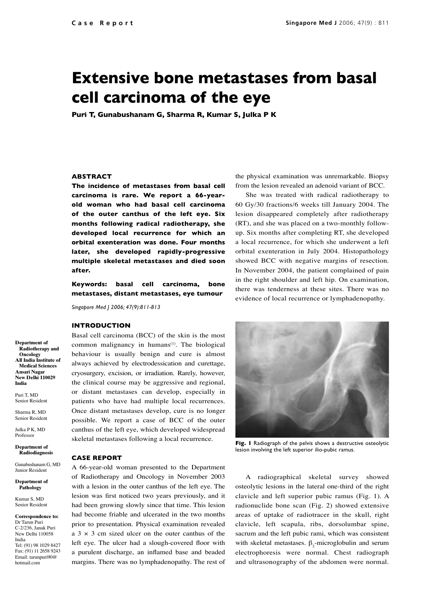# **Extensive bone metastases from basal cell carcinoma of the eye**

**Puri T, Gunabushanam G, Sharma R, Kumar S, Julka P K**

### **ABSTRACT**

**The incidence of metastases from basal cell carcinoma is rare. We report a 66-yearold woman who had basal cell carcinoma of the outer canthus of the left eye. Six months following radical radiotherapy, she developed local recurrence for which an orbital exenteration was done. Four months later, she developed rapidly-progressive multiple skeletal metastases and died soon after.** 

**Keywords: basal cell carcinoma, bone metastases, distant metastases, eye tumour**

*Singapore Med J 2006; 47(9):811-813*

#### **INTRODUCTION**

Basal cell carcinoma (BCC) of the skin is the most common malignancy in humans $(1)$ . The biological behaviour is usually benign and cure is almost always achieved by electrodessication and curettage, cryosurgery, excision, or irradiation. Rarely, however, the clinical course may be aggressive and regional, or distant metastases can develop, especially in patients who have had multiple local recurrences. Once distant metastases develop, cure is no longer possible. We report a case of BCC of the outer canthus of the left eye, which developed widespread skeletal metastases following a local recurrence.

#### **CASE REPORT**

A 66-year-old woman presented to the Department of Radiotherapy and Oncology in November 2003 with a lesion in the outer canthus of the left eye. The lesion was first noticed two years previously, and it had been growing slowly since that time. This lesion had become friable and ulcerated in the two months prior to presentation. Physical examination revealed a  $3 \times 3$  cm sized ulcer on the outer canthus of the left eye. The ulcer had a slough-covered floor with a purulent discharge, an inflamed base and beaded margins. There was no lymphadenopathy. The rest of the physical examination was unremarkable. Biopsy from the lesion revealed an adenoid variant of BCC.

She was treated with radical radiotherapy to 60 Gy/30 fractions/6 weeks till January 2004. The lesion disappeared completely after radiotherapy (RT), and she was placed on a two-monthly followup. Six months after completing RT, she developed a local recurrence, for which she underwent a left orbital exenteration in July 2004. Histopathology showed BCC with negative margins of resection. In November 2004, the patient complained of pain in the right shoulder and left hip. On examination, there was tenderness at these sites. There was no evidence of local recurrence or lymphadenopathy.



**Fig. 1** Radiograph of the pelvis shows a destructive osteolytic lesion involving the left superior ilio-pubic ramus.

A radiographical skeletal survey showed osteolytic lesions in the lateral one-third of the right clavicle and left superior pubic ramus (Fig. 1). A radionuclide bone scan (Fig. 2) showed extensive areas of uptake of radiotracer in the skull, right clavicle, left scapula, ribs, dorsolumbar spine, sacrum and the left pubic rami, which was consistent with skeletal metastases.  $\beta_2$ -microglobulin and serum electrophoresis were normal. Chest radiograph and ultrasonography of the abdomen were normal.

**Department of Radiotherapy and Oncology All India Institute of Medical Sciences Ansari Nagar New Delhi 110029 India**

Puri T, MD Senior Resident

Sharma R, MD Senior Resident Julka P K, MD

Professor

**Department of Radiodiagnosis**

Gunabushanam G, MD Junior Resident

**Department of Pathology**

Kumar S, MD Senior Resident

**Correspondence to:** Dr Tarun Puri C-2/236, Janak Puri New Delhi 110058 India Tel: (91) 98 1029 8427 Fax: (91) 11 2658 9243 Email: tarunpuri90@ hotmail.com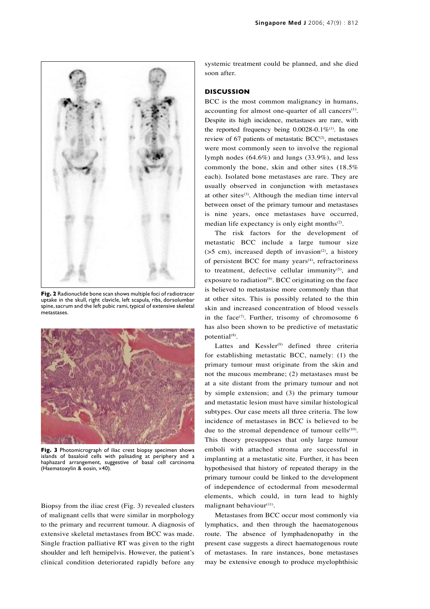

**Fig. 2** Radionuclide bone scan shows multiple foci of radiotracer uptake in the skull, right clavicle, left scapula, ribs, dorsolumbar spine, sacrum and the left pubic rami, typical of extensive skeletal metastases.



**Fig. 3** Photomicrograph of iliac crest biopsy specimen shows islands of basaloid cells with palisading at periphery and a haphazard arrangement, suggestive of basal cell carcinoma (Haematoxylin & eosin, ×40).

Biopsy from the iliac crest (Fig. 3) revealed clusters of malignant cells that were similar in morphology to the primary and recurrent tumour. A diagnosis of extensive skeletal metastases from BCC was made. Single fraction palliative RT was given to the right shoulder and left hemipelvis. However, the patient's clinical condition deteriorated rapidly before any systemic treatment could be planned, and she died soon after.

## **DISCUSSION**

BCC is the most common malignancy in humans, accounting for almost one-quarter of all cancers $(1)$ . Despite its high incidence, metastases are rare, with the reported frequency being  $0.0028-0.1\%$ <sup>(1)</sup>. In one review of 67 patients of metastatic  $BCC^{(2)}$ , metastases were most commonly seen to involve the regional lymph nodes  $(64.6\%)$  and lungs  $(33.9\%)$ , and less commonly the bone, skin and other sites (18.5% each). Isolated bone metastases are rare. They are usually observed in conjunction with metastases at other sites $(3)$ . Although the median time interval between onset of the primary tumour and metastases is nine years, once metastases have occurred, median life expectancy is only eight months $(2)$ .

The risk factors for the development of metastatic BCC include a large tumour size  $(55 \text{ cm})$ , increased depth of invasion<sup>(2)</sup>, a history of persistent BCC for many years<sup>(4)</sup>, refractoriness to treatment, defective cellular immunity $(5)$ , and exposure to radiation $^{(6)}$ . BCC originating on the face is believed to metastasise more commonly than that at other sites. This is possibly related to the thin skin and increased concentration of blood vessels in the face $(7)$ . Further, trisomy of chromosome 6 has also been shown to be predictive of metastatic potential<sup>(8)</sup>.

Lattes and  $Kessler<sup>(9)</sup>$  defined three criteria for establishing metastatic BCC, namely: (1) the primary tumour must originate from the skin and not the mucous membrane; (2) metastases must be at a site distant from the primary tumour and not by simple extension; and (3) the primary tumour and metastatic lesion must have similar histological subtypes. Our case meets all three criteria. The low incidence of metastases in BCC is believed to be due to the stromal dependence of tumour cells<sup>(10)</sup>. This theory presupposes that only large tumour emboli with attached stroma are successful in implanting at a metastatic site. Further, it has been hypothesised that history of repeated therapy in the primary tumour could be linked to the development of independence of ectodermal from mesodermal elements, which could, in turn lead to highly malignant behaviour<sup>(11)</sup>.

Metastases from BCC occur most commonly via lymphatics, and then through the haematogenous route. The absence of lymphadenopathy in the present case suggests a direct haematogenous route of metastases. In rare instances, bone metastases may be extensive enough to produce myelophthisic